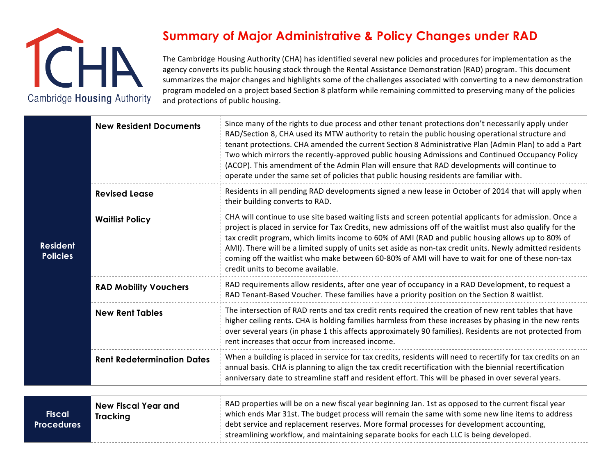

## **Summary of Major Administrative & Policy Changes under RAD**

The Cambridge Housing Authority (CHA) has identified several new policies and procedures for implementation as the agency converts its public housing stock through the Rental Assistance Demonstration (RAD) program. This document summarizes the major changes and highlights some of the challenges associated with converting to a new demonstration program modeled on a project based Section 8 platform while remaining committed to preserving many of the policies and protections of public housing.

| <b>Resident</b><br><b>Policies</b> | <b>New Resident Documents</b>                 | Since many of the rights to due process and other tenant protections don't necessarily apply under<br>RAD/Section 8, CHA used its MTW authority to retain the public housing operational structure and<br>tenant protections. CHA amended the current Section 8 Administrative Plan (Admin Plan) to add a Part<br>Two which mirrors the recently-approved public housing Admissions and Continued Occupancy Policy<br>(ACOP). This amendment of the Admin Plan will ensure that RAD developments will continue to<br>operate under the same set of policies that public housing residents are familiar with. |
|------------------------------------|-----------------------------------------------|--------------------------------------------------------------------------------------------------------------------------------------------------------------------------------------------------------------------------------------------------------------------------------------------------------------------------------------------------------------------------------------------------------------------------------------------------------------------------------------------------------------------------------------------------------------------------------------------------------------|
|                                    | <b>Revised Lease</b>                          | Residents in all pending RAD developments signed a new lease in October of 2014 that will apply when<br>their building converts to RAD.                                                                                                                                                                                                                                                                                                                                                                                                                                                                      |
|                                    | <b>Waitlist Policy</b>                        | CHA will continue to use site based waiting lists and screen potential applicants for admission. Once a<br>project is placed in service for Tax Credits, new admissions off of the waitlist must also qualify for the<br>tax credit program, which limits income to 60% of AMI (RAD and public housing allows up to 80% of<br>AMI). There will be a limited supply of units set aside as non-tax credit units. Newly admitted residents<br>coming off the waitlist who make between 60-80% of AMI will have to wait for one of these non-tax<br>credit units to become available.                            |
|                                    | <b>RAD Mobility Vouchers</b>                  | RAD requirements allow residents, after one year of occupancy in a RAD Development, to request a<br>RAD Tenant-Based Voucher. These families have a priority position on the Section 8 waitlist.                                                                                                                                                                                                                                                                                                                                                                                                             |
|                                    | <b>New Rent Tables</b>                        | The intersection of RAD rents and tax credit rents required the creation of new rent tables that have<br>higher ceiling rents. CHA is holding families harmless from these increases by phasing in the new rents<br>over several years (in phase 1 this affects approximately 90 families). Residents are not protected from<br>rent increases that occur from increased income.                                                                                                                                                                                                                             |
|                                    | <b>Rent Redetermination Dates</b>             | When a building is placed in service for tax credits, residents will need to recertify for tax credits on an<br>annual basis. CHA is planning to align the tax credit recertification with the biennial recertification<br>anniversary date to streamline staff and resident effort. This will be phased in over several years.                                                                                                                                                                                                                                                                              |
|                                    |                                               |                                                                                                                                                                                                                                                                                                                                                                                                                                                                                                                                                                                                              |
| <b>Fiscal</b><br><b>Procedures</b> | <b>New Fiscal Year and</b><br><b>Tracking</b> | RAD properties will be on a new fiscal year beginning Jan. 1st as opposed to the current fiscal year<br>which ends Mar 31st. The budget process will remain the same with some new line items to address<br>debt service and replacement reserves. More formal processes for development accounting,<br>streamlining workflow, and maintaining separate books for each LLC is being developed.                                                                                                                                                                                                               |